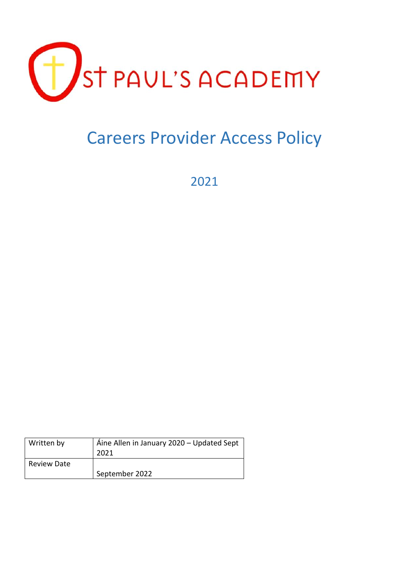

# Careers Provider Access Policy

2021

| Written by         | Áine Allen in January 2020 – Updated Sept<br>2021 |
|--------------------|---------------------------------------------------|
| <b>Review Date</b> | September 2022                                    |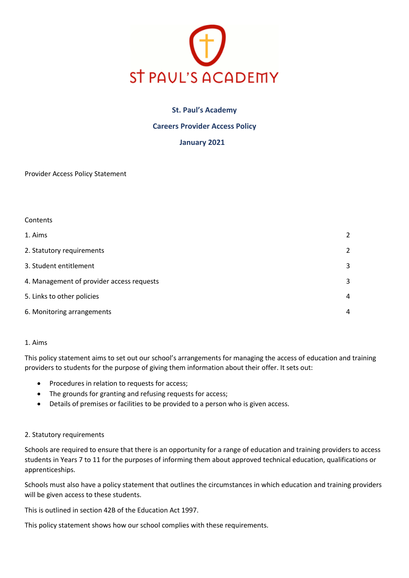

## **St. Paul's Academy**

## **Careers Provider Access Policy**

## **January 2021**

Provider Access Policy Statement

| Contents                                  |                |
|-------------------------------------------|----------------|
| 1. Aims                                   | $\overline{2}$ |
| 2. Statutory requirements                 | 2              |
| 3. Student entitlement                    | 3              |
| 4. Management of provider access requests | 3              |
| 5. Links to other policies                | 4              |
| 6. Monitoring arrangements                | $\overline{4}$ |

### 1. Aims

This policy statement aims to set out our school's arrangements for managing the access of education and training providers to students for the purpose of giving them information about their offer. It sets out:

- Procedures in relation to requests for access;
- The grounds for granting and refusing requests for access;
- Details of premises or facilities to be provided to a person who is given access.

### 2. Statutory requirements

Schools are required to ensure that there is an opportunity for a range of education and training providers to access students in Years 7 to 11 for the purposes of informing them about approved technical education, qualifications or apprenticeships.

Schools must also have a policy statement that outlines the circumstances in which education and training providers will be given access to these students.

This is outlined in section 42B of the Education Act 1997.

This policy statement shows how our school complies with these requirements.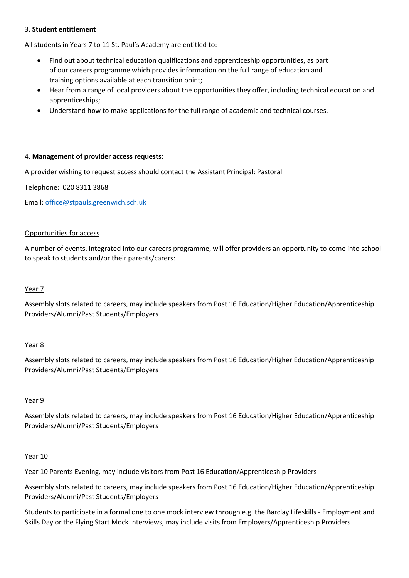## 3. **Student entitlement**

All students in Years 7 to 11 St. Paul's Academy are entitled to:

- Find out about technical education qualifications and apprenticeship opportunities, as part of our careers programme which provides information on the full range of education and training options available at each transition point;
- Hear from a range of local providers about the opportunities they offer, including technical education and apprenticeships;
- Understand how to make applications for the full range of academic and technical courses.

### 4. **Management of provider access requests:**

A provider wishing to request access should contact the Assistant Principal: Pastoral

Telephone: 020 8311 3868

Email: [office@stpauls.greenwich.sch.uk](mailto:office@stpauls.greenwich.sch.uk)

#### Opportunities for access

A number of events, integrated into our careers programme, will offer providers an opportunity to come into school to speak to students and/or their parents/carers:

#### Year 7

Assembly slots related to careers, may include speakers from Post 16 Education/Higher Education/Apprenticeship Providers/Alumni/Past Students/Employers

### Year 8

Assembly slots related to careers, may include speakers from Post 16 Education/Higher Education/Apprenticeship Providers/Alumni/Past Students/Employers

### Year 9

Assembly slots related to careers, may include speakers from Post 16 Education/Higher Education/Apprenticeship Providers/Alumni/Past Students/Employers

#### Year 10

Year 10 Parents Evening, may include visitors from Post 16 Education/Apprenticeship Providers

Assembly slots related to careers, may include speakers from Post 16 Education/Higher Education/Apprenticeship Providers/Alumni/Past Students/Employers

Students to participate in a formal one to one mock interview through e.g. the Barclay Lifeskills - Employment and Skills Day or the Flying Start Mock Interviews, may include visits from Employers/Apprenticeship Providers